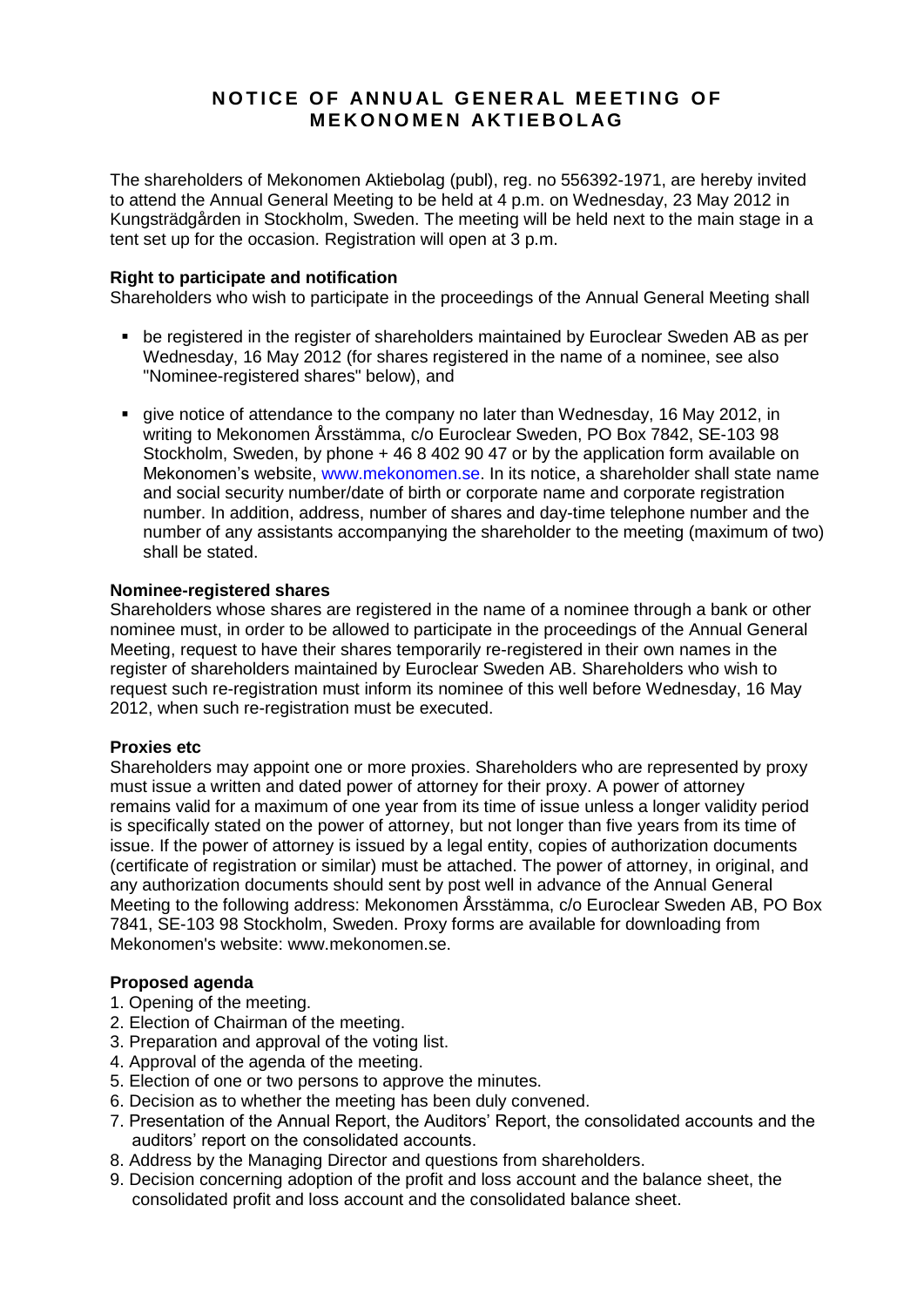# **NOTICE OF ANNUAL GENERAL MEETING OF M E K O N O M E N A K T I E B O L AG**

The shareholders of Mekonomen Aktiebolag (publ), reg. no 556392-1971, are hereby invited to attend the Annual General Meeting to be held at 4 p.m. on Wednesday, 23 May 2012 in Kungsträdgården in Stockholm, Sweden. The meeting will be held next to the main stage in a tent set up for the occasion. Registration will open at 3 p.m.

# **Right to participate and notification**

Shareholders who wish to participate in the proceedings of the Annual General Meeting shall

- be registered in the register of shareholders maintained by Euroclear Sweden AB as per Wednesday, 16 May 2012 (for shares registered in the name of a nominee, see also "Nominee-registered shares" below), and
- give notice of attendance to the company no later than Wednesday, 16 May 2012, in writing to Mekonomen Årsstämma, c/o Euroclear Sweden, PO Box 7842, SE-103 98 Stockholm, Sweden, by phone + 46 8 402 90 47 or by the application form available on Mekonomen's website, [www.mekonomen.se.](http://www.mekonomen.se/) In its notice, a shareholder shall state name and social security number/date of birth or corporate name and corporate registration number. In addition, address, number of shares and day-time telephone number and the number of any assistants accompanying the shareholder to the meeting (maximum of two) shall be stated.

# **Nominee-registered shares**

Shareholders whose shares are registered in the name of a nominee through a bank or other nominee must, in order to be allowed to participate in the proceedings of the Annual General Meeting, request to have their shares temporarily re-registered in their own names in the register of shareholders maintained by Euroclear Sweden AB. Shareholders who wish to request such re-registration must inform its nominee of this well before Wednesday, 16 May 2012, when such re-registration must be executed.

### **Proxies etc**

Shareholders may appoint one or more proxies. Shareholders who are represented by proxy must issue a written and dated power of attorney for their proxy. A power of attorney remains valid for a maximum of one year from its time of issue unless a longer validity period is specifically stated on the power of attorney, but not longer than five years from its time of issue. If the power of attorney is issued by a legal entity, copies of authorization documents (certificate of registration or similar) must be attached. The power of attorney, in original, and any authorization documents should sent by post well in advance of the Annual General Meeting to the following address: Mekonomen Årsstämma, c/o Euroclear Sweden AB, PO Box 7841, SE-103 98 Stockholm, Sweden. Proxy forms are available for downloading from Mekonomen's website: www.mekonomen.se.

### **Proposed agenda**

- 1. Opening of the meeting.
- 2. Election of Chairman of the meeting.
- 3. Preparation and approval of the voting list.
- 4. Approval of the agenda of the meeting.
- 5. Election of one or two persons to approve the minutes.
- 6. Decision as to whether the meeting has been duly convened.
- 7. Presentation of the Annual Report, the Auditors' Report, the consolidated accounts and the auditors' report on the consolidated accounts.
- 8. Address by the Managing Director and questions from shareholders.
- 9. Decision concerning adoption of the profit and loss account and the balance sheet, the consolidated profit and loss account and the consolidated balance sheet.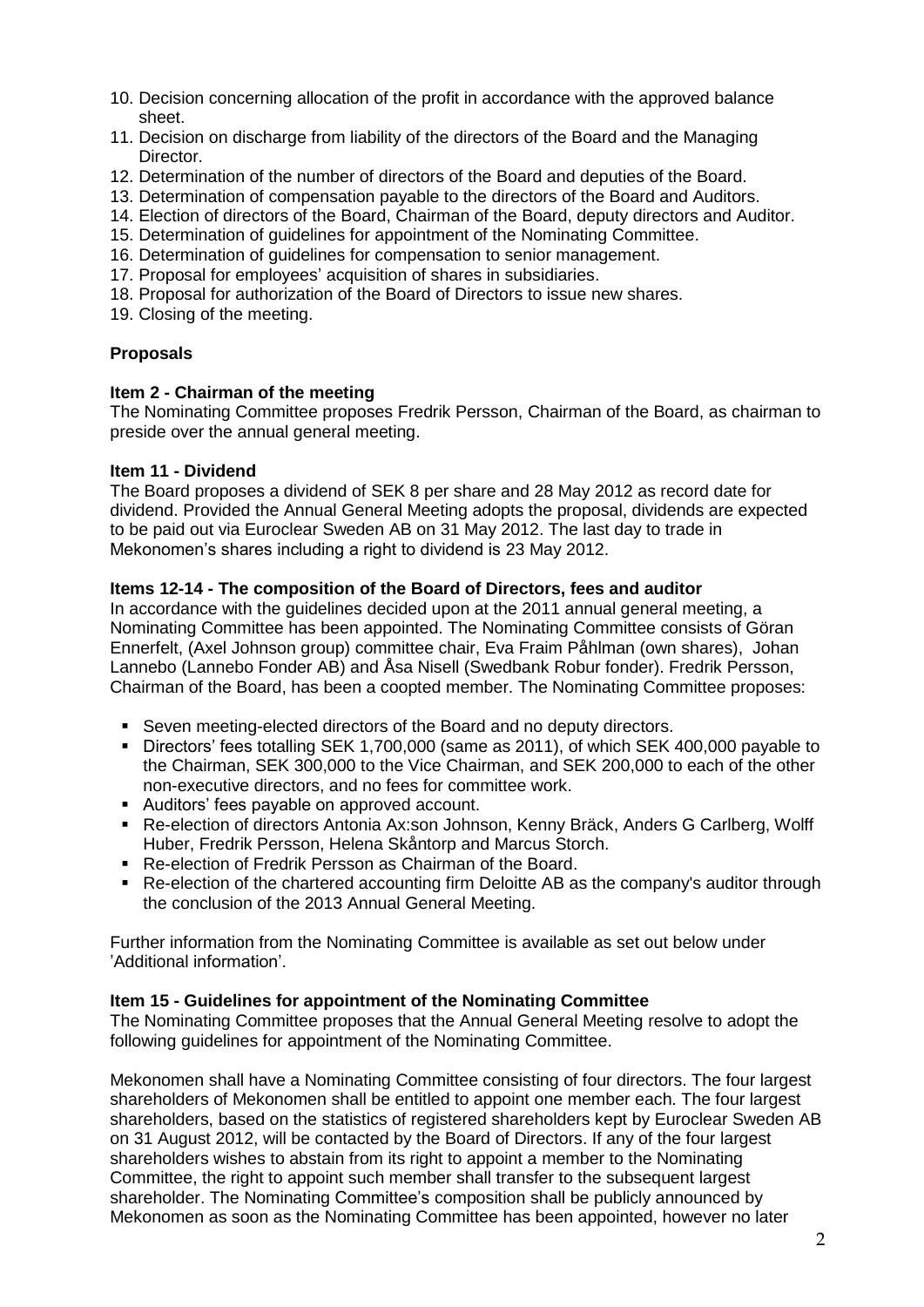- 10. Decision concerning allocation of the profit in accordance with the approved balance sheet.
- 11. Decision on discharge from liability of the directors of the Board and the Managing Director.
- 12. Determination of the number of directors of the Board and deputies of the Board.
- 13. Determination of compensation payable to the directors of the Board and Auditors.
- 14. Election of directors of the Board, Chairman of the Board, deputy directors and Auditor.
- 15. Determination of guidelines for appointment of the Nominating Committee.
- 16. Determination of quidelines for compensation to senior management.
- 17. Proposal for employees' acquisition of shares in subsidiaries.
- 18. Proposal for authorization of the Board of Directors to issue new shares.
- 19. Closing of the meeting.

# **Proposals**

# **Item 2 - Chairman of the meeting**

The Nominating Committee proposes Fredrik Persson, Chairman of the Board, as chairman to preside over the annual general meeting.

# **Item 11 - Dividend**

The Board proposes a dividend of SEK 8 per share and 28 May 2012 as record date for dividend. Provided the Annual General Meeting adopts the proposal, dividends are expected to be paid out via Euroclear Sweden AB on 31 May 2012. The last day to trade in Mekonomen's shares including a right to dividend is 23 May 2012.

# **Items 12-14 - The composition of the Board of Directors, fees and auditor**

In accordance with the guidelines decided upon at the 2011 annual general meeting, a Nominating Committee has been appointed. The Nominating Committee consists of Göran Ennerfelt, (Axel Johnson group) committee chair, Eva Fraim Påhlman (own shares), Johan Lannebo (Lannebo Fonder AB) and Åsa Nisell (Swedbank Robur fonder). Fredrik Persson, Chairman of the Board, has been a coopted member. The Nominating Committee proposes:

- Seven meeting-elected directors of the Board and no deputy directors.
- Directors' fees totalling SEK 1,700,000 (same as 2011), of which SEK 400,000 payable to the Chairman, SEK 300,000 to the Vice Chairman, and SEK 200,000 to each of the other non-executive directors, and no fees for committee work.
- Auditors' fees payable on approved account.
- Re-election of directors Antonia Ax:son Johnson, Kenny Bräck, Anders G Carlberg, Wolff Huber, Fredrik Persson, Helena Skåntorp and Marcus Storch.
- Re-election of Fredrik Persson as Chairman of the Board.
- Re-election of the chartered accounting firm Deloitte AB as the company's auditor through the conclusion of the 2013 Annual General Meeting.

Further information from the Nominating Committee is available as set out below under 'Additional information'.

### **Item 15 - Guidelines for appointment of the Nominating Committee**

The Nominating Committee proposes that the Annual General Meeting resolve to adopt the following guidelines for appointment of the Nominating Committee.

Mekonomen shall have a Nominating Committee consisting of four directors. The four largest shareholders of Mekonomen shall be entitled to appoint one member each. The four largest shareholders, based on the statistics of registered shareholders kept by Euroclear Sweden AB on 31 August 2012, will be contacted by the Board of Directors. If any of the four largest shareholders wishes to abstain from its right to appoint a member to the Nominating Committee, the right to appoint such member shall transfer to the subsequent largest shareholder. The Nominating Committee's composition shall be publicly announced by Mekonomen as soon as the Nominating Committee has been appointed, however no later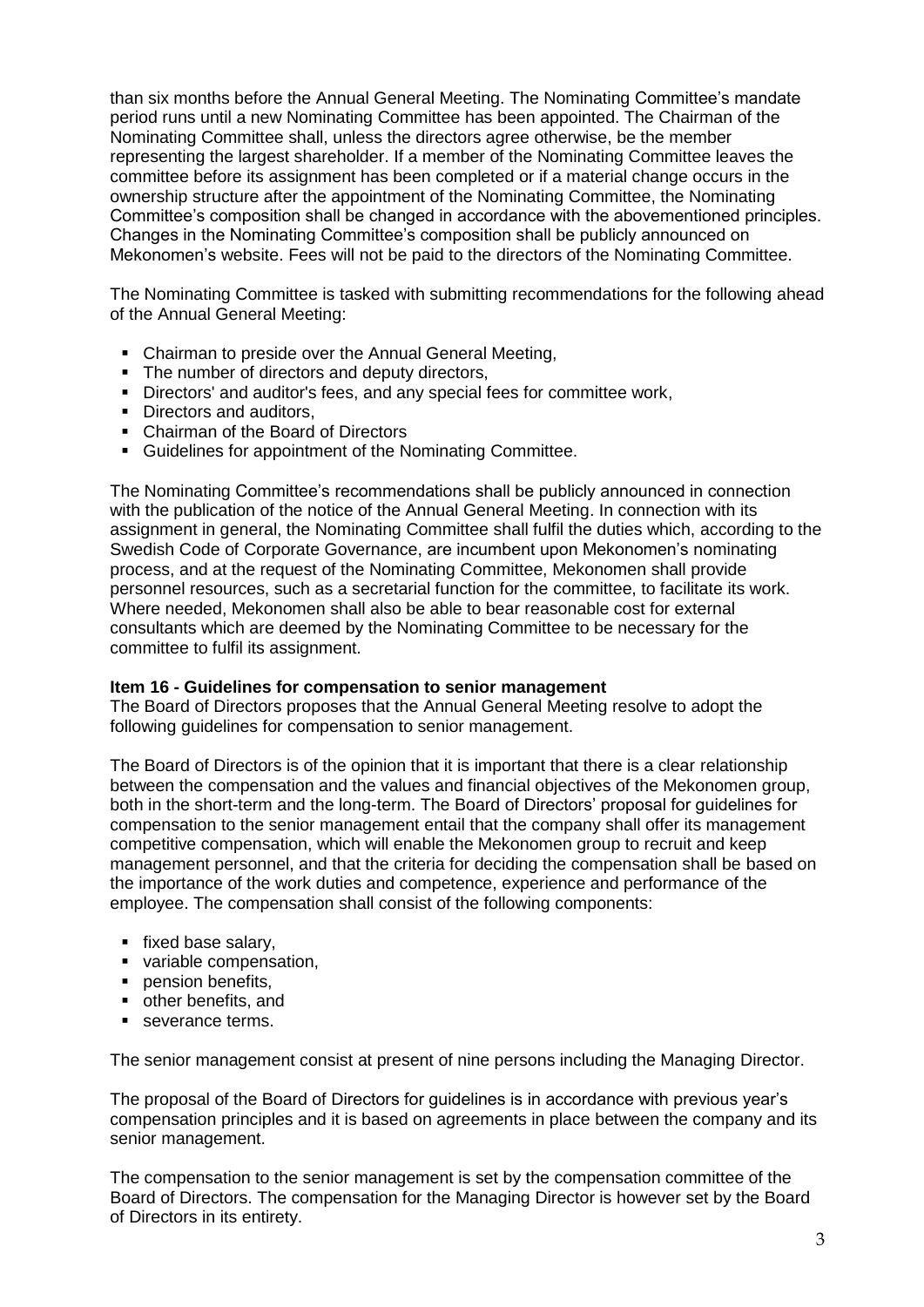than six months before the Annual General Meeting. The Nominating Committee's mandate period runs until a new Nominating Committee has been appointed. The Chairman of the Nominating Committee shall, unless the directors agree otherwise, be the member representing the largest shareholder. If a member of the Nominating Committee leaves the committee before its assignment has been completed or if a material change occurs in the ownership structure after the appointment of the Nominating Committee, the Nominating Committee's composition shall be changed in accordance with the abovementioned principles. Changes in the Nominating Committee's composition shall be publicly announced on Mekonomen's website. Fees will not be paid to the directors of the Nominating Committee.

The Nominating Committee is tasked with submitting recommendations for the following ahead of the Annual General Meeting:

- Chairman to preside over the Annual General Meeting,
- The number of directors and deputy directors,
- Directors' and auditor's fees, and any special fees for committee work,
- Directors and auditors.
- Chairman of the Board of Directors
- Guidelines for appointment of the Nominating Committee.

The Nominating Committee's recommendations shall be publicly announced in connection with the publication of the notice of the Annual General Meeting. In connection with its assignment in general, the Nominating Committee shall fulfil the duties which, according to the Swedish Code of Corporate Governance, are incumbent upon Mekonomen's nominating process, and at the request of the Nominating Committee, Mekonomen shall provide personnel resources, such as a secretarial function for the committee, to facilitate its work. Where needed, Mekonomen shall also be able to bear reasonable cost for external consultants which are deemed by the Nominating Committee to be necessary for the committee to fulfil its assignment.

# **Item 16 - Guidelines for compensation to senior management**

The Board of Directors proposes that the Annual General Meeting resolve to adopt the following guidelines for compensation to senior management.

The Board of Directors is of the opinion that it is important that there is a clear relationship between the compensation and the values and financial objectives of the Mekonomen group, both in the short-term and the long-term. The Board of Directors' proposal for guidelines for compensation to the senior management entail that the company shall offer its management competitive compensation, which will enable the Mekonomen group to recruit and keep management personnel, and that the criteria for deciding the compensation shall be based on the importance of the work duties and competence, experience and performance of the employee. The compensation shall consist of the following components:

- fixed base salary,
- variable compensation.
- **Pension benefits.**
- other benefits, and
- severance terms

The senior management consist at present of nine persons including the Managing Director.

The proposal of the Board of Directors for guidelines is in accordance with previous year's compensation principles and it is based on agreements in place between the company and its senior management.

The compensation to the senior management is set by the compensation committee of the Board of Directors. The compensation for the Managing Director is however set by the Board of Directors in its entirety.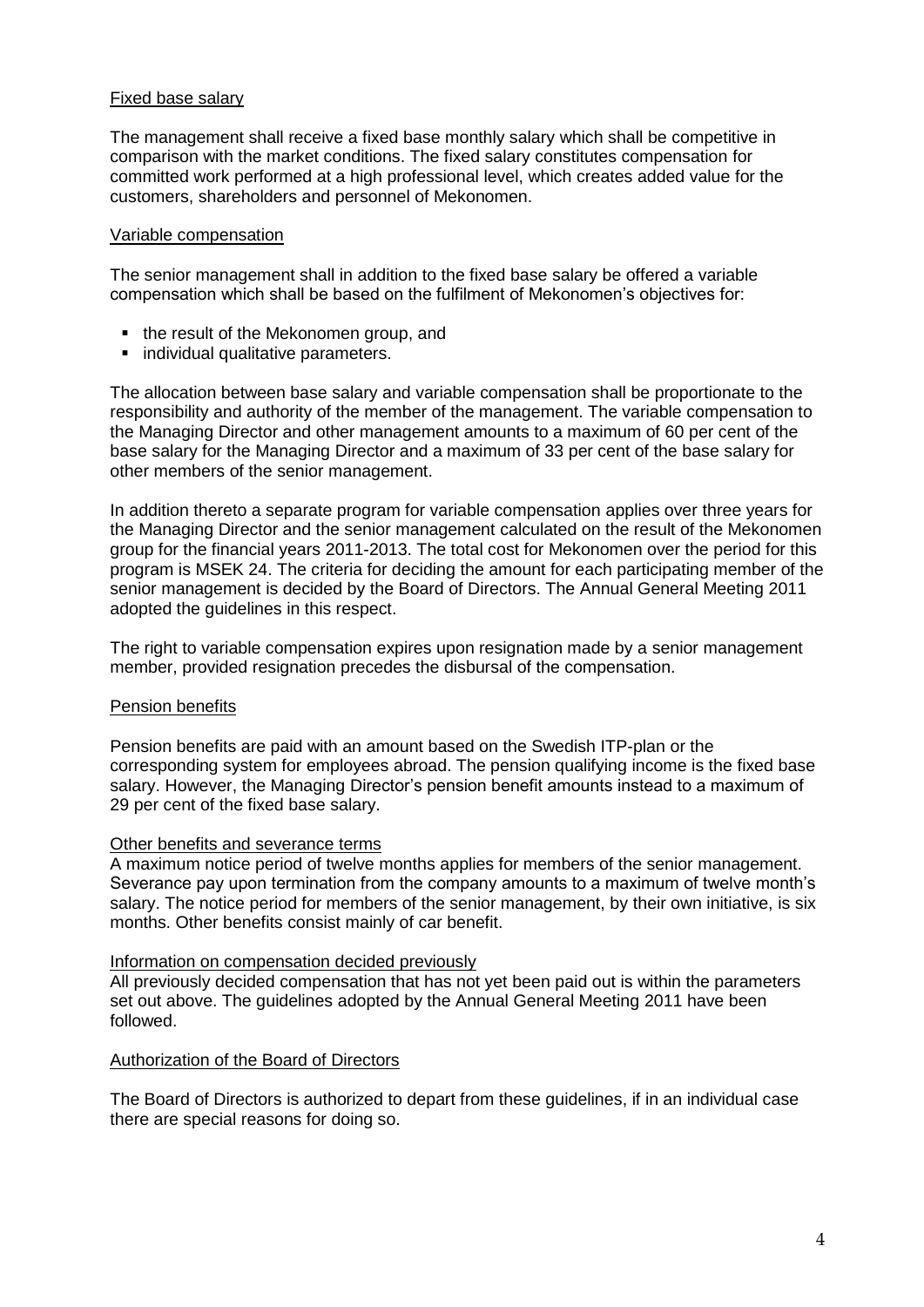# Fixed base salary

The management shall receive a fixed base monthly salary which shall be competitive in comparison with the market conditions. The fixed salary constitutes compensation for committed work performed at a high professional level, which creates added value for the customers, shareholders and personnel of Mekonomen.

### Variable compensation

The senior management shall in addition to the fixed base salary be offered a variable compensation which shall be based on the fulfilment of Mekonomen's objectives for:

- the result of the Mekonomen group, and
- individual qualitative parameters.

The allocation between base salary and variable compensation shall be proportionate to the responsibility and authority of the member of the management. The variable compensation to the Managing Director and other management amounts to a maximum of 60 per cent of the base salary for the Managing Director and a maximum of 33 per cent of the base salary for other members of the senior management.

In addition thereto a separate program for variable compensation applies over three years for the Managing Director and the senior management calculated on the result of the Mekonomen group for the financial years 2011-2013. The total cost for Mekonomen over the period for this program is MSEK 24. The criteria for deciding the amount for each participating member of the senior management is decided by the Board of Directors. The Annual General Meeting 2011 adopted the guidelines in this respect.

The right to variable compensation expires upon resignation made by a senior management member, provided resignation precedes the disbursal of the compensation.

### Pension benefits

Pension benefits are paid with an amount based on the Swedish ITP-plan or the corresponding system for employees abroad. The pension qualifying income is the fixed base salary. However, the Managing Director's pension benefit amounts instead to a maximum of 29 per cent of the fixed base salary.

### Other benefits and severance terms

A maximum notice period of twelve months applies for members of the senior management. Severance pay upon termination from the company amounts to a maximum of twelve month's salary. The notice period for members of the senior management, by their own initiative, is six months. Other benefits consist mainly of car benefit.

### Information on compensation decided previously

All previously decided compensation that has not yet been paid out is within the parameters set out above. The guidelines adopted by the Annual General Meeting 2011 have been followed.

### Authorization of the Board of Directors

The Board of Directors is authorized to depart from these guidelines, if in an individual case there are special reasons for doing so.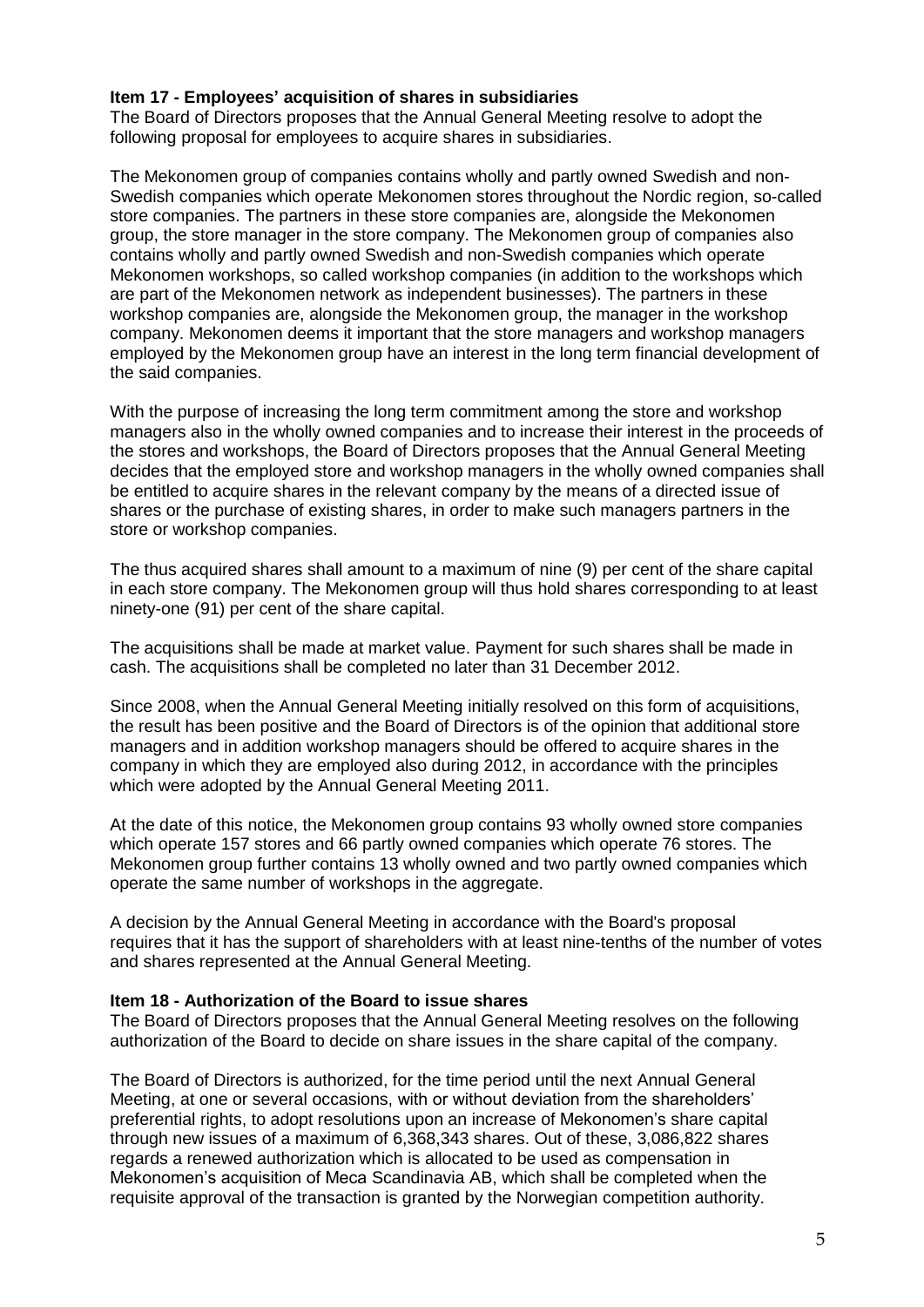# **Item 17 - Employees' acquisition of shares in subsidiaries**

The Board of Directors proposes that the Annual General Meeting resolve to adopt the following proposal for employees to acquire shares in subsidiaries.

The Mekonomen group of companies contains wholly and partly owned Swedish and non-Swedish companies which operate Mekonomen stores throughout the Nordic region, so-called store companies. The partners in these store companies are, alongside the Mekonomen group, the store manager in the store company. The Mekonomen group of companies also contains wholly and partly owned Swedish and non-Swedish companies which operate Mekonomen workshops, so called workshop companies (in addition to the workshops which are part of the Mekonomen network as independent businesses). The partners in these workshop companies are, alongside the Mekonomen group, the manager in the workshop company. Mekonomen deems it important that the store managers and workshop managers employed by the Mekonomen group have an interest in the long term financial development of the said companies.

With the purpose of increasing the long term commitment among the store and workshop managers also in the wholly owned companies and to increase their interest in the proceeds of the stores and workshops, the Board of Directors proposes that the Annual General Meeting decides that the employed store and workshop managers in the wholly owned companies shall be entitled to acquire shares in the relevant company by the means of a directed issue of shares or the purchase of existing shares, in order to make such managers partners in the store or workshop companies.

The thus acquired shares shall amount to a maximum of nine (9) per cent of the share capital in each store company. The Mekonomen group will thus hold shares corresponding to at least ninety-one (91) per cent of the share capital.

The acquisitions shall be made at market value. Payment for such shares shall be made in cash. The acquisitions shall be completed no later than 31 December 2012.

Since 2008, when the Annual General Meeting initially resolved on this form of acquisitions, the result has been positive and the Board of Directors is of the opinion that additional store managers and in addition workshop managers should be offered to acquire shares in the company in which they are employed also during 2012, in accordance with the principles which were adopted by the Annual General Meeting 2011.

At the date of this notice, the Mekonomen group contains 93 wholly owned store companies which operate 157 stores and 66 partly owned companies which operate 76 stores. The Mekonomen group further contains 13 wholly owned and two partly owned companies which operate the same number of workshops in the aggregate.

A decision by the Annual General Meeting in accordance with the Board's proposal requires that it has the support of shareholders with at least nine-tenths of the number of votes and shares represented at the Annual General Meeting.

### **Item 18 - Authorization of the Board to issue shares**

The Board of Directors proposes that the Annual General Meeting resolves on the following authorization of the Board to decide on share issues in the share capital of the company.

The Board of Directors is authorized, for the time period until the next Annual General Meeting, at one or several occasions, with or without deviation from the shareholders' preferential rights, to adopt resolutions upon an increase of Mekonomen's share capital through new issues of a maximum of 6,368,343 shares. Out of these, 3,086,822 shares regards a renewed authorization which is allocated to be used as compensation in Mekonomen's acquisition of Meca Scandinavia AB, which shall be completed when the requisite approval of the transaction is granted by the Norwegian competition authority.